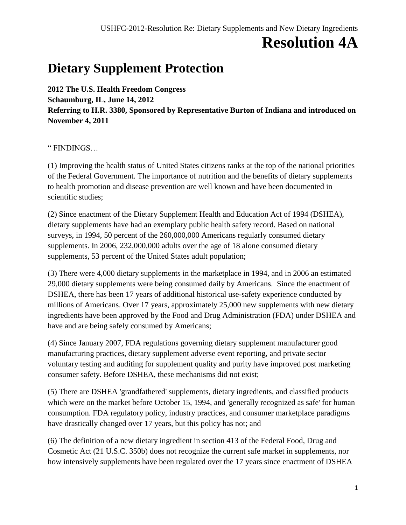## **Resolution 4A**

## **Dietary Supplement Protection**

**2012 The U.S. Health Freedom Congress Schaumburg, IL, June 14, 2012 Referring to H.R. 3380, Sponsored by Representative Burton of Indiana and introduced on November 4, 2011**

" FINDINGS…

(1) Improving the health status of United States citizens ranks at the top of the national priorities of the Federal Government. The importance of nutrition and the benefits of dietary supplements to health promotion and disease prevention are well known and have been documented in scientific studies;

(2) Since enactment of the Dietary Supplement Health and Education Act of 1994 (DSHEA), dietary supplements have had an exemplary public health safety record. Based on national surveys, in 1994, 50 percent of the 260,000,000 Americans regularly consumed dietary supplements. In 2006, 232,000,000 adults over the age of 18 alone consumed dietary supplements, 53 percent of the United States adult population;

(3) There were 4,000 dietary supplements in the marketplace in 1994, and in 2006 an estimated 29,000 dietary supplements were being consumed daily by Americans. Since the enactment of DSHEA, there has been 17 years of additional historical use-safety experience conducted by millions of Americans. Over 17 years, approximately 25,000 new supplements with new dietary ingredients have been approved by the Food and Drug Administration (FDA) under DSHEA and have and are being safely consumed by Americans;

(4) Since January 2007, FDA regulations governing dietary supplement manufacturer good manufacturing practices, dietary supplement adverse event reporting, and private sector voluntary testing and auditing for supplement quality and purity have improved post marketing consumer safety. Before DSHEA, these mechanisms did not exist;

(5) There are DSHEA 'grandfathered' supplements, dietary ingredients, and classified products which were on the market before October 15, 1994, and 'generally recognized as safe' for human consumption. FDA regulatory policy, industry practices, and consumer marketplace paradigms have drastically changed over 17 years, but this policy has not; and

(6) The definition of a new dietary ingredient in section 413 of the Federal Food, Drug and Cosmetic Act (21 U.S.C. 350b) does not recognize the current safe market in supplements, nor how intensively supplements have been regulated over the 17 years since enactment of DSHEA